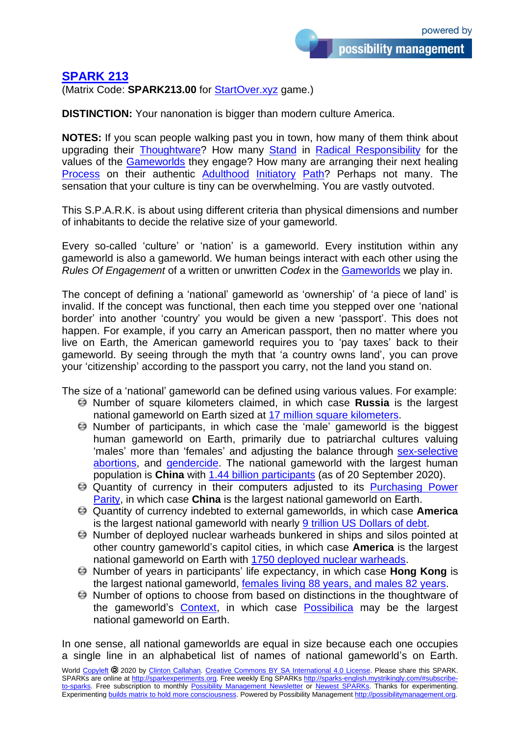## **[SPARK 213](http://sparks-english.mystrikingly.com/)**

(Matrix Code: **SPARK213.00** for [StartOver.xyz](http://startoverxyz.mystrikingly.com/) game.)

**DISTINCTION:** Your nanonation is bigger than modern culture America.

**NOTES:** If you scan people walking past you in town, how many of them think about upgrading their **[Thoughtware?](http://thoughtware.mystrikingly.com/)** How many **[Stand](http://takeastand.mystrikingly.com/) in [Radical Responsibility](http://radicalresponsibility.mystrikingly.com/)** for the values of the [Gameworlds](http://gameworldbuilder.mystrikingly.com/) they engage? How many are arranging their next healing [Process](http://process.mystrikingly.com/) on their authentic [Adulthood](http://adulthood.mystrikingly.com/) [Initiatory](http://initiations.mystrikingly.com/) [Path?](http://path.mystrikingly.com/) Perhaps not many. The sensation that your culture is tiny can be overwhelming. You are vastly outvoted.

This S.P.A.R.K. is about using different criteria than physical dimensions and number of inhabitants to decide the relative size of your gameworld.

Every so-called 'culture' or 'nation' is a gameworld. Every institution within any gameworld is also a gameworld. We human beings interact with each other using the *Rules Of Engagement* of a written or unwritten *Codex* in the [Gameworlds](http://gameworldbuilder.mystrikingly.com/) we play in.

The concept of defining a 'national' gameworld as 'ownership' of 'a piece of land' is invalid. If the concept was functional, then each time you stepped over one 'national border' into another 'country' you would be given a new 'passport'. This does not happen. For example, if you carry an American passport, then no matter where you live on Earth, the American gameworld requires you to 'pay taxes' back to their gameworld. By seeing through the myth that 'a country owns land', you can prove your 'citizenship' according to the passport you carry, not the land you stand on.

The size of a 'national' gameworld can be defined using various values. For example:

- Number of square kilometers claimed, in which case **Russia** is the largest national gameworld on Earth sized at [17 million square kilometers.](https://www.history.com/news/what-is-the-largest-country-in-the-world)
- Number of participants, in which case the 'male' gameworld is the biggest human gameworld on Earth, primarily due to patriarchal cultures valuing 'males' more than 'females' and adjusting the balance through sex-selective [abortions,](https://en.wikipedia.org/wiki/Sex-selective_abortions) and [gendercide.](https://en.wikipedia.org/wiki/Gendercide) The national gameworld with the largest human population is **China** with 1.44 [billion participants](https://www.worldometers.info/world-population/) (as of 20 September 2020).
- Quantity of currency in their computers adjusted to its [Purchasing Power](https://en.wikipedia.org/wiki/List_of_countries_by_GDP_(PPP))  [Parity,](https://en.wikipedia.org/wiki/List_of_countries_by_GDP_(PPP)) in which case **China** is the largest national gameworld on Earth.
- Quantity of currency indebted to external gameworlds, in which case **America** is the largest national gameworld with nearly 9 trillion US [Dollars of debt.](https://en.wikipedia.org/wiki/List_of_countries_by_external_debt)
- Number of deployed nuclear warheads bunkered in ships and silos pointed at other country gameworld's capitol cities, in which case **America** is the largest national gameworld on Earth with [1750 deployed nuclear warheads.](https://en.wikipedia.org/wiki/List_of_states_with_nuclear_weapons)
- Number of years in participants' life expectancy, in which case **Hong Kong** is the largest national gameworld, [females living 88 years, and males 82 years.](https://www.worldometers.info/demographics/life-expectancy/)
- Number of options to choose from based on distinctions in the thoughtware of the gameworld's [Context,](http://setcontext.mystrikingly.com/) in which case [Possibilica](http://possibilica.org/) may be the largest national gameworld on Earth.

In one sense, all national gameworlds are equal in size because each one occupies a single line in an alphabetical list of names of national gameworld's on Earth.